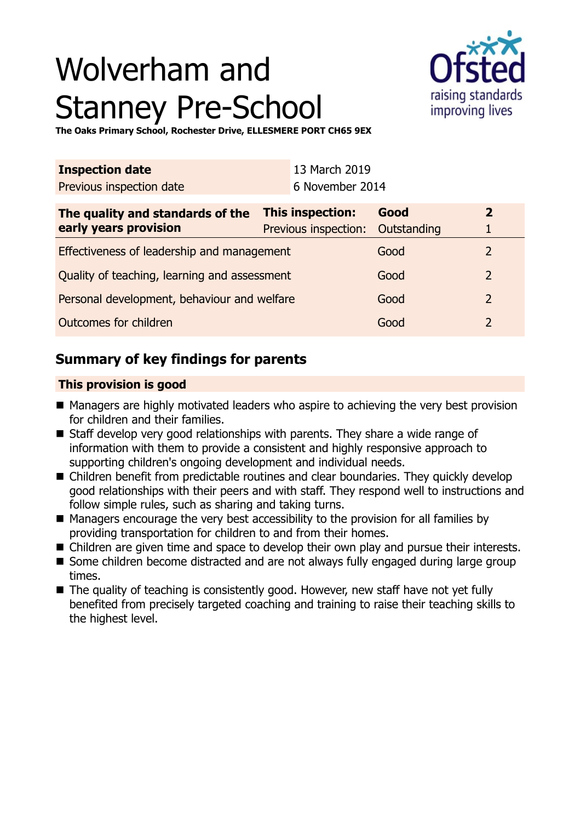# Wolverham and Stanney Pre-School



**The Oaks Primary School, Rochester Drive, ELLESMERE PORT CH65 9EX**

| <b>Inspection date</b><br>Previous inspection date        |                                                             | 13 March 2019<br>6 November 2014 |      |                                |
|-----------------------------------------------------------|-------------------------------------------------------------|----------------------------------|------|--------------------------------|
| The quality and standards of the<br>early years provision | <b>This inspection:</b><br>Previous inspection: Outstanding |                                  | Good | $\overline{2}$<br>$\mathbf{1}$ |
| Effectiveness of leadership and management                |                                                             |                                  | Good | $\overline{2}$                 |
| Quality of teaching, learning and assessment              |                                                             |                                  | Good | $\mathcal{P}$                  |

Personal development, behaviour and welfare Good Good 2 **Outcomes for children** and 2 and 2 and 2 and 2 and 2 and 2 and 2 and 2 and 2 and 2 and 2 and 2 and 2 and 2 and 2 and 2 and 2 and 2 and 2 and 2 and 2 and 2 and 2 and 2 and 2 and 2 and 2 and 2 and 2 and 2 and 2 and 2 and 2

## **Summary of key findings for parents**

## **This provision is good**

- Managers are highly motivated leaders who aspire to achieving the very best provision for children and their families.
- $\blacksquare$  Staff develop very good relationships with parents. They share a wide range of information with them to provide a consistent and highly responsive approach to supporting children's ongoing development and individual needs.
- Children benefit from predictable routines and clear boundaries. They quickly develop good relationships with their peers and with staff. They respond well to instructions and follow simple rules, such as sharing and taking turns.
- $\blacksquare$  Managers encourage the very best accessibility to the provision for all families by providing transportation for children to and from their homes.
- Children are given time and space to develop their own play and pursue their interests.
- Some children become distracted and are not always fully engaged during large group times.
- $\blacksquare$  The quality of teaching is consistently good. However, new staff have not yet fully benefited from precisely targeted coaching and training to raise their teaching skills to the highest level.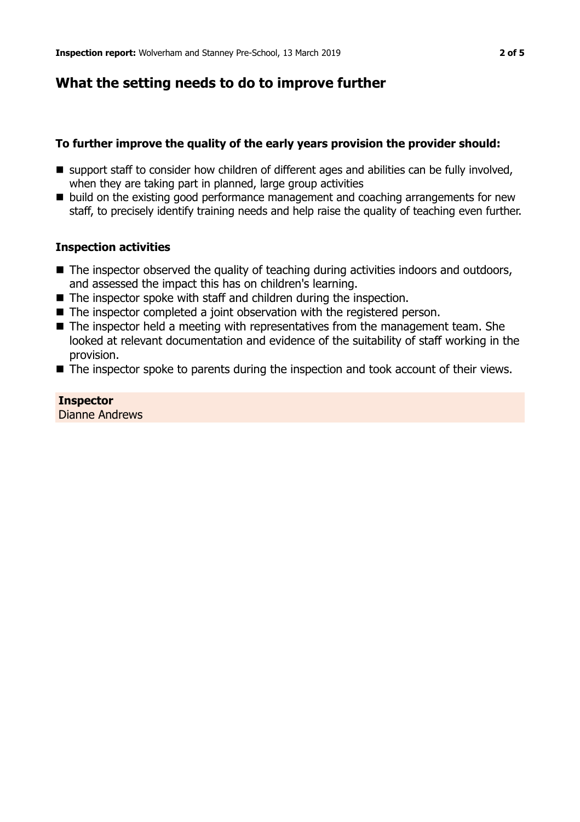## **What the setting needs to do to improve further**

## **To further improve the quality of the early years provision the provider should:**

- $\blacksquare$  support staff to consider how children of different ages and abilities can be fully involved, when they are taking part in planned, large group activities
- build on the existing good performance management and coaching arrangements for new staff, to precisely identify training needs and help raise the quality of teaching even further.

#### **Inspection activities**

- $\blacksquare$  The inspector observed the quality of teaching during activities indoors and outdoors, and assessed the impact this has on children's learning.
- $\blacksquare$  The inspector spoke with staff and children during the inspection.
- $\blacksquare$  The inspector completed a joint observation with the registered person.
- $\blacksquare$  The inspector held a meeting with representatives from the management team. She looked at relevant documentation and evidence of the suitability of staff working in the provision.
- $\blacksquare$  The inspector spoke to parents during the inspection and took account of their views.

**Inspector** Dianne Andrews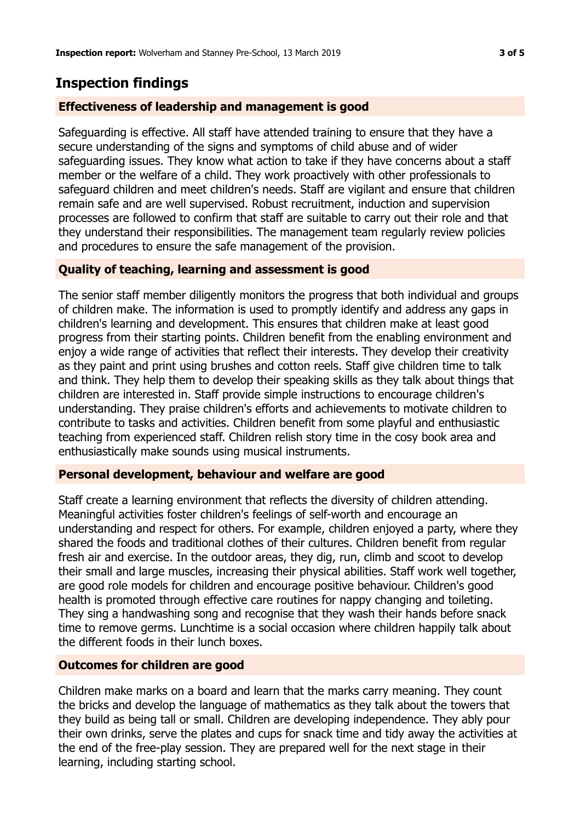## **Inspection findings**

## **Effectiveness of leadership and management is good**

Safeguarding is effective. All staff have attended training to ensure that they have a secure understanding of the signs and symptoms of child abuse and of wider safeguarding issues. They know what action to take if they have concerns about a staff member or the welfare of a child. They work proactively with other professionals to safeguard children and meet children's needs. Staff are vigilant and ensure that children remain safe and are well supervised. Robust recruitment, induction and supervision processes are followed to confirm that staff are suitable to carry out their role and that they understand their responsibilities. The management team regularly review policies and procedures to ensure the safe management of the provision.

## **Quality of teaching, learning and assessment is good**

The senior staff member diligently monitors the progress that both individual and groups of children make. The information is used to promptly identify and address any gaps in children's learning and development. This ensures that children make at least good progress from their starting points. Children benefit from the enabling environment and enjoy a wide range of activities that reflect their interests. They develop their creativity as they paint and print using brushes and cotton reels. Staff give children time to talk and think. They help them to develop their speaking skills as they talk about things that children are interested in. Staff provide simple instructions to encourage children's understanding. They praise children's efforts and achievements to motivate children to contribute to tasks and activities. Children benefit from some playful and enthusiastic teaching from experienced staff. Children relish story time in the cosy book area and enthusiastically make sounds using musical instruments.

#### **Personal development, behaviour and welfare are good**

Staff create a learning environment that reflects the diversity of children attending. Meaningful activities foster children's feelings of self-worth and encourage an understanding and respect for others. For example, children enjoyed a party, where they shared the foods and traditional clothes of their cultures. Children benefit from regular fresh air and exercise. In the outdoor areas, they dig, run, climb and scoot to develop their small and large muscles, increasing their physical abilities. Staff work well together, are good role models for children and encourage positive behaviour. Children's good health is promoted through effective care routines for nappy changing and toileting. They sing a handwashing song and recognise that they wash their hands before snack time to remove germs. Lunchtime is a social occasion where children happily talk about the different foods in their lunch boxes.

#### **Outcomes for children are good**

Children make marks on a board and learn that the marks carry meaning. They count the bricks and develop the language of mathematics as they talk about the towers that they build as being tall or small. Children are developing independence. They ably pour their own drinks, serve the plates and cups for snack time and tidy away the activities at the end of the free-play session. They are prepared well for the next stage in their learning, including starting school.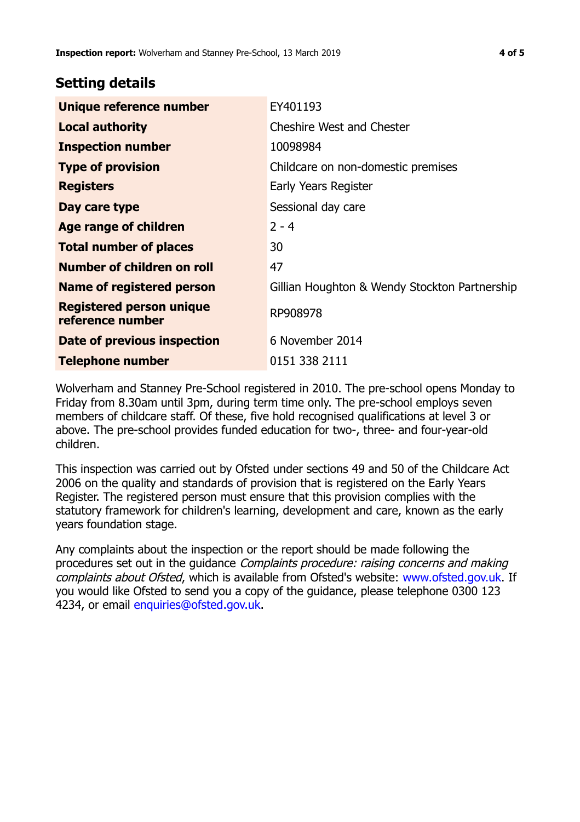## **Setting details**

| Unique reference number                             | EY401193                                      |  |  |
|-----------------------------------------------------|-----------------------------------------------|--|--|
| <b>Local authority</b>                              | <b>Cheshire West and Chester</b>              |  |  |
| <b>Inspection number</b>                            | 10098984                                      |  |  |
| <b>Type of provision</b>                            | Childcare on non-domestic premises            |  |  |
| <b>Registers</b>                                    | Early Years Register                          |  |  |
| Day care type                                       | Sessional day care                            |  |  |
| Age range of children                               | $2 - 4$                                       |  |  |
| <b>Total number of places</b>                       | 30                                            |  |  |
| Number of children on roll                          | 47                                            |  |  |
| <b>Name of registered person</b>                    | Gillian Houghton & Wendy Stockton Partnership |  |  |
| <b>Registered person unique</b><br>reference number | RP908978                                      |  |  |
| Date of previous inspection                         | 6 November 2014                               |  |  |
| <b>Telephone number</b>                             | 0151 338 2111                                 |  |  |

Wolverham and Stanney Pre-School registered in 2010. The pre-school opens Monday to Friday from 8.30am until 3pm, during term time only. The pre-school employs seven members of childcare staff. Of these, five hold recognised qualifications at level 3 or above. The pre-school provides funded education for two-, three- and four-year-old children.

This inspection was carried out by Ofsted under sections 49 and 50 of the Childcare Act 2006 on the quality and standards of provision that is registered on the Early Years Register. The registered person must ensure that this provision complies with the statutory framework for children's learning, development and care, known as the early years foundation stage.

Any complaints about the inspection or the report should be made following the procedures set out in the guidance Complaints procedure: raising concerns and making complaints about Ofsted, which is available from Ofsted's website: www.ofsted.gov.uk. If you would like Ofsted to send you a copy of the guidance, please telephone 0300 123 4234, or email [enquiries@ofsted.gov.uk.](mailto:enquiries@ofsted.gov.uk)